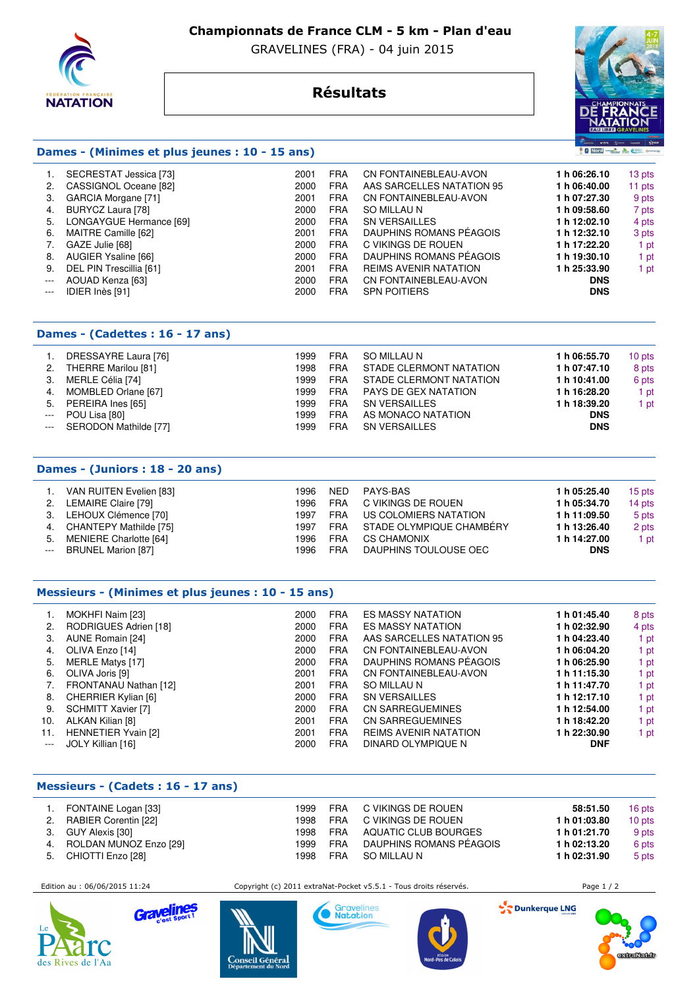

## **Championnats de France CLM - 5 km - Plan d'eau**

GRAVELINES (FRA) - 04 juin 2015

## **Résultats**



## **Dames - (Minimes et plus jeunes : 10 - 15 ans)**

|       | SECRESTAT Jessica [73]  | 2001 | <b>FRA</b> | CN FONTAINEBLEAU-AVON        | 1 h 06:26.10 | 13 pts |
|-------|-------------------------|------|------------|------------------------------|--------------|--------|
| 2.    | CASSIGNOL Oceane [82]   | 2000 | <b>FRA</b> | AAS SARCELLES NATATION 95    | 1 h 06:40.00 | 11 pts |
| З.    | GARCIA Morgane [71]     | 2001 | <b>FRA</b> | CN FONTAINEBLEAU-AVON        | 1 h 07:27.30 | 9 pts  |
| 4.    | BURYCZ Laura [78]       | 2000 | <b>FRA</b> | SO MILLAU N                  | 1 h 09:58.60 | 7 pts  |
| 5.    | LONGAYGUE Hermance [69] | 2000 | <b>FRA</b> | <b>SN VERSAILLES</b>         | 1 h 12:02.10 | 4 pts  |
| 6.    | MAITRE Camille [62]     | 2001 | <b>FRA</b> | DAUPHINS ROMANS PÉAGOIS      | 1 h 12:32.10 | 3 pts  |
|       | GAZE Julie [68]         | 2000 | <b>FRA</b> | C VIKINGS DE ROUEN           | 1 h 17:22.20 | 1 pt   |
| 8.    | AUGIER Ysaline [66]     | 2000 | <b>FRA</b> | DAUPHINS ROMANS PÉAGOIS      | 1 h 19:30.10 | 1 pt   |
| 9.    | DEL PIN Trescillia [61] | 2001 | <b>FRA</b> | <b>REIMS AVENIR NATATION</b> | 1 h 25:33.90 | 1 pt   |
| $---$ | AOUAD Kenza [63]        | 2000 | <b>FRA</b> | CN FONTAINEBLEAU-AVON        | <b>DNS</b>   |        |
| $---$ | IDIER Inès [91]         | 2000 | <b>FRA</b> | <b>SPN POITIERS</b>          | <b>DNS</b>   |        |
|       |                         |      |            |                              |              |        |

## **Dames - (Cadettes : 16 - 17 ans)**

| 2.<br>3.<br>5.<br>$\qquad \qquad - -$ | DRESSAYRE Laura [76]<br>THERRE Marilou [81]<br>MERLE Célia [74]<br>MOMBLED Orlane [67]<br>PEREIRA Ines [65]<br>POU Lisa [80]<br>--- SERODON Mathilde [77] | 1999<br>1998<br>1999<br>1999<br>1999<br>1999<br>1999 | <b>FRA</b><br><b>FRA</b><br><b>FRA</b><br><b>FRA</b><br><b>FRA</b><br><b>FRA</b><br><b>FRA</b> | SO MILLAU N<br>STADE CLERMONT NATATION<br>STADE CLERMONT NATATION<br>PAYS DE GEX NATATION<br><b>SN VERSAILLES</b><br>AS MONACO NATATION<br><b>SN VERSAILLES</b> | 1 h 06:55.70<br>1 h 07:47.10<br>1 h 10:41.00<br>1 h 16:28.20<br>1 h 18:39.20<br><b>DNS</b><br><b>DNS</b> | 10 pts<br>8 pts<br>6 pts<br>1 pt<br>  pt |
|---------------------------------------|-----------------------------------------------------------------------------------------------------------------------------------------------------------|------------------------------------------------------|------------------------------------------------------------------------------------------------|-----------------------------------------------------------------------------------------------------------------------------------------------------------------|----------------------------------------------------------------------------------------------------------|------------------------------------------|
|---------------------------------------|-----------------------------------------------------------------------------------------------------------------------------------------------------------|------------------------------------------------------|------------------------------------------------------------------------------------------------|-----------------------------------------------------------------------------------------------------------------------------------------------------------------|----------------------------------------------------------------------------------------------------------|------------------------------------------|

## **Dames - (Juniors : 18 - 20 ans)**

| VAN RUITEN Evelien [83]   | 1996 | <b>NED</b> | PAYS-BAS                 | 1 h 05:25.40 | 15 pts |
|---------------------------|------|------------|--------------------------|--------------|--------|
| 2. LEMAIRE Claire [79]    | 1996 | FRA        | C VIKINGS DE ROUEN       | 1 h 05:34.70 | 14 pts |
| 3. LEHOUX Clémence [70]   | 1997 | FRA        | US COLOMIERS NATATION    | 1 h 11:09.50 | 5 pts  |
| 4. CHANTEPY Mathilde [75] | 1997 | FRA        | STADE OLYMPIQUE CHAMBÉRY | 1 h 13:26.40 | 2 pts  |
| 5. MENIERE Charlotte [64] | 1996 | <b>FRA</b> | <b>CS CHAMONIX</b>       | 1 h 14:27.00 | 1 pt   |
| --- BRUNEL Marion [87]    | 1996 | <b>FRA</b> | DAUPHINS TOULOUSE OEC    | <b>DNS</b>   |        |
|                           |      |            |                          |              |        |

#### **Messieurs - (Minimes et plus jeunes : 10 - 15 ans)**

|       | MOKHFI Naim [23]           | 2000 | <b>FRA</b> | ES MASSY NATATION            | 1 h 01:45.40 | 8 pts |
|-------|----------------------------|------|------------|------------------------------|--------------|-------|
| 2.    | RODRIGUES Adrien [18]      | 2000 | <b>FRA</b> | <b>ES MASSY NATATION</b>     | 1 h 02:32.90 | 4 pts |
| 3.    | AUNE Romain [24]           | 2000 | <b>FRA</b> | AAS SARCELLES NATATION 95    | 1 h 04:23.40 | 1 pt  |
| 4.    | OLIVA Enzo [14]            | 2000 | <b>FRA</b> | CN FONTAINEBLEAU-AVON        | 1 h 06:04.20 | 1 pt  |
| 5.    | MERLE Matys [17]           | 2000 | <b>FRA</b> | DAUPHINS ROMANS PÉAGOIS      | 1 h 06:25.90 | 1 pt  |
| 6.    | OLIVA Joris [9]            | 2001 | <b>FRA</b> | CN FONTAINEBLEAU-AVON        | 1 h 11:15.30 | 1 pt  |
| 7.    | FRONTANAU Nathan [12]      | 2001 | <b>FRA</b> | SO MILLAU N                  | 1 h 11:47.70 | 1 pt  |
| 8.    | CHERRIER Kylian [6]        | 2000 | <b>FRA</b> | <b>SN VERSAILLES</b>         | 1 h 12:17.10 | 1 pt  |
| 9.    | SCHMITT Xavier [7]         | 2000 | <b>FRA</b> | <b>CN SARREGUEMINES</b>      | 1 h 12:54.00 | 1 pt  |
| 10.   | ALKAN Kilian [8]           | 2001 | <b>FRA</b> | CN SARREGUEMINES             | 1 h 18:42.20 | 1 pt  |
| 11.   | <b>HENNETIER Yvain [2]</b> | 2001 | <b>FRA</b> | <b>REIMS AVENIR NATATION</b> | 1 h 22:30.90 | 1 pt  |
| $---$ | JOLY Killian [16]          | 2000 | <b>FRA</b> | DINARD OLYMPIQUE N           | <b>DNF</b>   |       |

#### **Messieurs - (Cadets : 16 - 17 ans)**

Grav

|    | FONTAINE Logan [33]       | 1999 | <b>FRA</b> | C VIKINGS DE ROUEN      | 58:51.50     | 16 pts |
|----|---------------------------|------|------------|-------------------------|--------------|--------|
| 2. | RABIER Corentin [22]      | 1998 | FRA        | C VIKINGS DE ROUEN      | 1 h 01:03.80 | 10 pts |
|    | 3. GUY Alexis [30]        | 1998 | <b>FRA</b> | AQUATIC CLUB BOURGES    | 1 h 01:21.70 | 9 pts  |
|    | 4. ROLDAN MUNOZ Enzo [29] | 1999 | <b>FRA</b> | DAUPHINS ROMANS PÉAGOIS | 1 h 02:13.20 | 6 pts  |
| 5. | CHIOTTI Enzo [28]         | 1998 | <b>FRA</b> | SO MILLAU N             | 1 h 02:31.90 | 5 pts  |



 Edition au : 06/06/2015 11:24 Copyright (c) 2011 extraNat-Pocket v5.5.1 - Tous droits réservés. Page 1 / 2 Gravelines

Dunkerque LNG